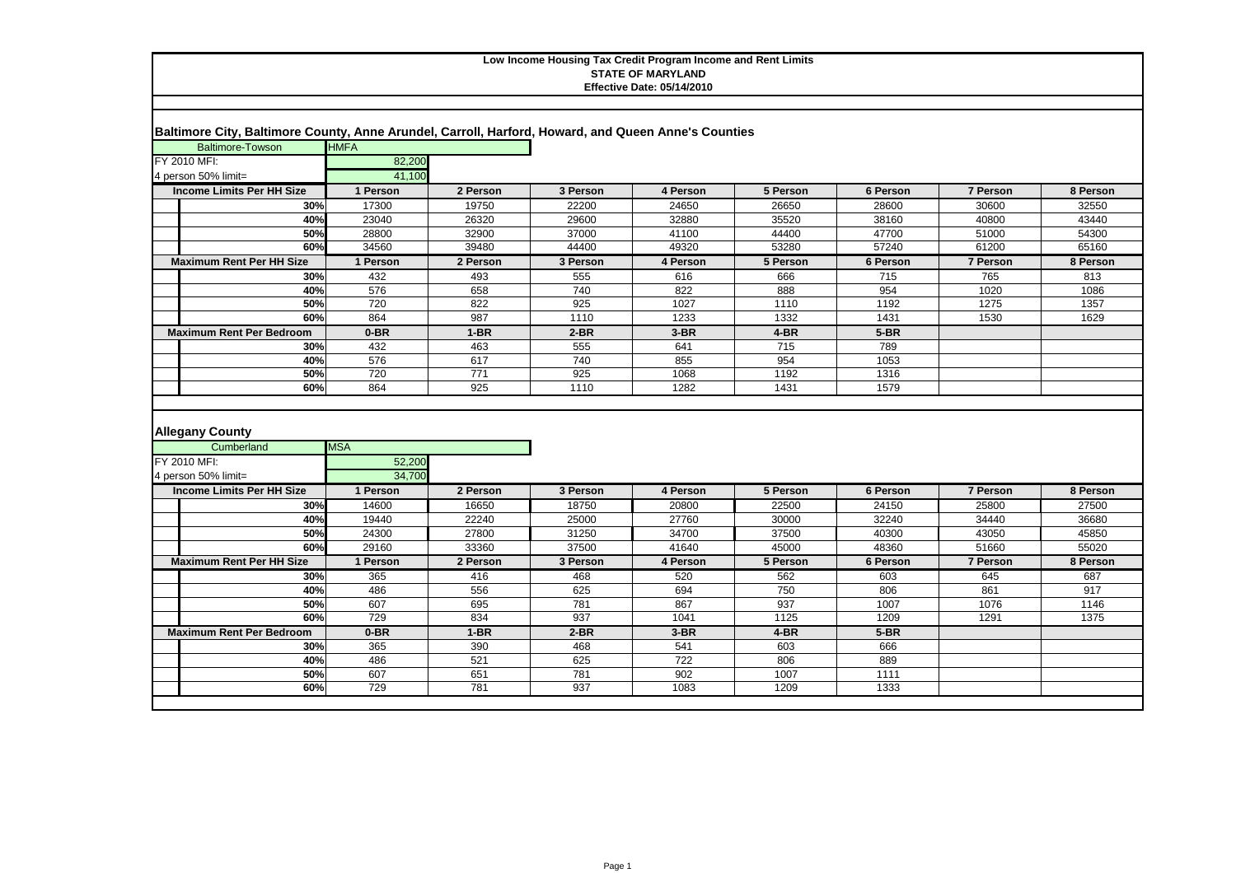| Baltimore City, Baltimore County, Anne Arundel, Carroll, Harford, Howard, and Queen Anne's Counties |                      |            |            |             |              |              |                 |          |
|-----------------------------------------------------------------------------------------------------|----------------------|------------|------------|-------------|--------------|--------------|-----------------|----------|
| <b>Baltimore-Towson</b>                                                                             | <b>HMFA</b>          |            |            |             |              |              |                 |          |
| FY 2010 MFI:                                                                                        | 82,200               |            |            |             |              |              |                 |          |
| 4 person 50% limit=                                                                                 | 41.100               |            |            |             |              |              |                 |          |
| <b>Income Limits Per HH Size</b>                                                                    | 1 Person             | 2 Person   | 3 Person   | 4 Person    | 5 Person     | 6 Person     | 7 Person        | 8 Person |
| 30%                                                                                                 | 17300                | 19750      | 22200      | 24650       | 26650        | 28600        | 30600           | 32550    |
| 40%                                                                                                 | 23040                | 26320      | 29600      | 32880       | 35520        | 38160        | 40800           | 43440    |
| 50%                                                                                                 | 28800                | 32900      | 37000      | 41100       | 44400        | 47700        | 51000           | 54300    |
| 60%                                                                                                 | 34560                | 39480      | 44400      | 49320       | 53280        | 57240        | 61200           | 65160    |
| <b>Maximum Rent Per HH Size</b>                                                                     | 1 Person             | 2 Person   | 3 Person   | 4 Person    | 5 Person     | 6 Person     | <b>7 Person</b> | 8 Person |
| 30%                                                                                                 | 432                  | 493        | 555        | 616         | 666          | 715          | 765             | 813      |
| 40%                                                                                                 | 576                  | 658        | 740        | 822         | 888          | 954          | 1020            | 1086     |
| 50%                                                                                                 | 720                  | 822        | 925        | 1027        | 1110         | 1192         | 1275            | 1357     |
| 60%                                                                                                 | 864                  | 987        | 1110       | 1233        | 1332         | 1431         | 1530            | 1629     |
| <b>Maximum Rent Per Bedroom</b>                                                                     | $0-BR$               | $1-BR$     | $2-BR$     | $3-BR$      | $4-BR$       | $5-BR$       |                 |          |
| 30%                                                                                                 | 432                  | 463        | 555        | 641         | 715          | 789          |                 |          |
| 40%                                                                                                 | 576                  | 617        | 740        | 855         | 954          | 1053         |                 |          |
| 50%                                                                                                 | 720                  | 771        | 925        | 1068        | 1192         | 1316         |                 |          |
| 60%                                                                                                 | 864                  | 925        | 1110       | 1282        | 1431         | 1579         |                 |          |
| <b>Allegany County</b>                                                                              |                      |            |            |             |              |              |                 |          |
| Cumberland<br>FY 2010 MFI:                                                                          | <b>MSA</b><br>52,200 |            |            |             |              |              |                 |          |
| 4 person 50% limit=                                                                                 | 34,700               |            |            |             |              |              |                 |          |
| <b>Income Limits Per HH Size</b>                                                                    | 1 Person             | 2 Person   | 3 Person   | 4 Person    | 5 Person     | 6 Person     | 7 Person        | 8 Person |
| 30%                                                                                                 | 14600                | 16650      | 18750      | 20800       | 22500        | 24150        | 25800           | 27500    |
| 40%                                                                                                 | 19440                | 22240      | 25000      | 27760       | 30000        | 32240        | 34440           | 36680    |
| 50%                                                                                                 | 24300                | 27800      | 31250      | 34700       | 37500        | 40300        | 43050           | 45850    |
| 60%                                                                                                 | 29160                | 33360      | 37500      | 41640       | 45000        | 48360        | 51660           | 55020    |
| <b>Maximum Rent Per HH Size</b>                                                                     | 1 Person             | 2 Person   | 3 Person   | 4 Person    | 5 Person     | 6 Person     | 7 Person        | 8 Person |
| 30%                                                                                                 | 365                  | 416        | 468        | 520         | 562          | 603          | 645             | 687      |
| 40%                                                                                                 | 486                  | 556        | 625        | 694         | 750          | 806          | 861             | 917      |
| 50%                                                                                                 | 607                  | 695        | 781        | 867         | 937          | 1007         | 1076            | 1146     |
| 60%                                                                                                 | 729                  | 834        | 937        | 1041        | 1125         | 1209         | 1291            | 1375     |
| <b>Maximum Rent Per Bedroom</b>                                                                     | 0-BR                 | $1-BR$     | $2-BR$     | $3-BR$      | $4-BR$       | 5-BR         |                 |          |
| 30%                                                                                                 | 365                  | 390        | 468        | 541         | 603          | 666          |                 |          |
| 40%                                                                                                 | 486                  | 521        | 625        | 722         | 806          | 889          |                 |          |
| 50%<br>60%                                                                                          | 607<br>729           | 651<br>781 | 781<br>937 | 902<br>1083 | 1007<br>1209 | 1111<br>1333 |                 |          |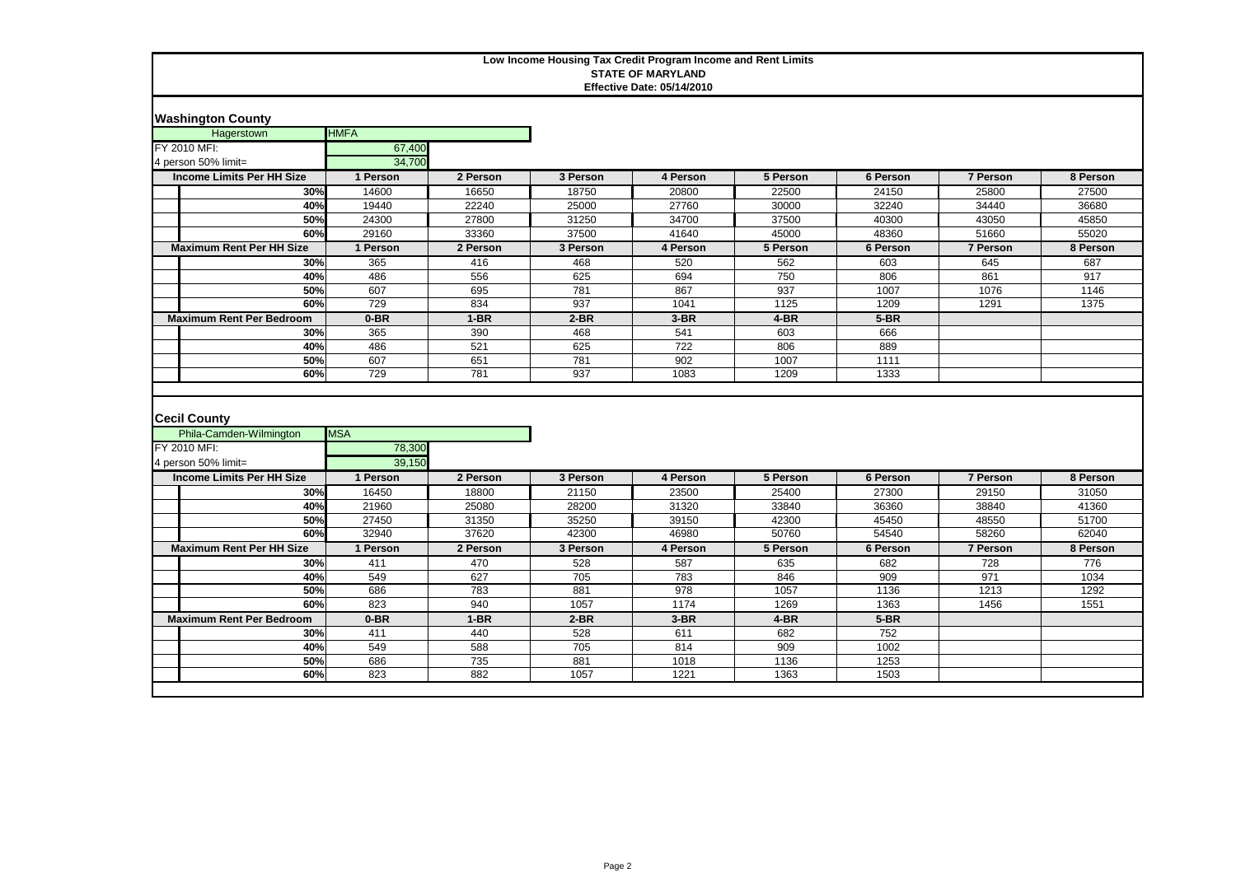| <b>Washington County</b>                                       |                      |            |             |              |              |              |                 |          |
|----------------------------------------------------------------|----------------------|------------|-------------|--------------|--------------|--------------|-----------------|----------|
| Hagerstown                                                     | <b>HMFA</b>          |            |             |              |              |              |                 |          |
| FY 2010 MFI:                                                   | 67,400               |            |             |              |              |              |                 |          |
| 4 person 50% limit=                                            | 34.700               |            |             |              |              |              |                 |          |
| <b>Income Limits Per HH Size</b>                               | 1 Person             | 2 Person   | 3 Person    | 4 Person     | 5 Person     | 6 Person     | <b>7 Person</b> | 8 Person |
| 30%                                                            | 14600                | 16650      | 18750       | 20800        | 22500        | 24150        | 25800           | 27500    |
| 40%                                                            | 19440                | 22240      | 25000       | 27760        | 30000        | 32240        | 34440           | 36680    |
| 50%                                                            | 24300                | 27800      | 31250       | 34700        | 37500        | 40300        | 43050           | 45850    |
| 60%                                                            | 29160                | 33360      | 37500       | 41640        | 45000        | 48360        | 51660           | 55020    |
| <b>Maximum Rent Per HH Size</b>                                | 1 Person             | 2 Person   | 3 Person    | 4 Person     | 5 Person     | 6 Person     | 7 Person        | 8 Person |
| 30%                                                            | 365                  | 416        | 468         | 520          | 562          | 603          | 645             | 687      |
| 40%                                                            | 486                  | 556        | 625         | 694          | 750          | 806          | 861             | 917      |
| 50%                                                            | 607                  | 695        | 781         | 867          | 937          | 1007         | 1076            | 1146     |
| 60%                                                            | 729                  | 834        | 937         | 1041         | 1125         | 1209         | 1291            | 1375     |
| <b>Maximum Rent Per Bedroom</b>                                | $0-BR$               | $1-BR$     | $2-BR$      | $3-BR$       | $4-BR$       | $5-BR$       |                 |          |
| 30%                                                            | 365                  | 390        | 468         | 541          | 603          | 666          |                 |          |
| 40%                                                            | 486                  | 521        | 625         | 722          | 806          | 889          |                 |          |
| 50%                                                            | 607                  | 651        | 781         | 902          | 1007         | 1111         |                 |          |
| 60%                                                            | 729                  | 781        | 937         | 1083         | 1209         | 1333         |                 |          |
|                                                                |                      |            |             |              |              |              |                 |          |
| <b>Cecil County</b><br>Phila-Camden-Wilmington<br>FY 2010 MFI: | <b>MSA</b><br>78,300 |            |             |              |              |              |                 |          |
| 4 person 50% limit=                                            | 39,150               |            |             |              |              |              |                 |          |
| <b>Income Limits Per HH Size</b>                               | 1 Person             | 2 Person   | 3 Person    | 4 Person     | 5 Person     | 6 Person     | 7 Person        | 8 Person |
| 30%                                                            | 16450                | 18800      | 21150       | 23500        | 25400        | 27300        | 29150           | 31050    |
| 40%                                                            | 21960                | 25080      | 28200       | 31320        | 33840        | 36360        | 38840           | 41360    |
| 50%                                                            | 27450                | 31350      | 35250       | 39150        | 42300        | 45450        | 48550           | 51700    |
| 60%                                                            | 32940                | 37620      | 42300       | 46980        | 50760        | 54540        | 58260           | 62040    |
| <b>Maximum Rent Per HH Size</b>                                | 1 Person             | 2 Person   | 3 Person    | 4 Person     | 5 Person     | 6 Person     | <b>7 Person</b> | 8 Person |
| 30%                                                            | 411                  | 470        | 528         | 587          | 635          | 682          | 728             | 776      |
| 40%                                                            | 549                  | 627        | 705         | 783          | 846          | 909          | 971             | 1034     |
| 50%                                                            | 686                  | 783        | 881         | 978          | 1057         | 1136         | 1213            | 1292     |
| 60%                                                            | 823                  | 940        | 1057        | 1174         | 1269         | 1363         | 1456            | 1551     |
| <b>Maximum Rent Per Bedroom</b>                                | $0-BR$               | $1-BR$     | $2-BR$      | $3-BR$       | $4-BR$       | $5-BR$       |                 |          |
| 30%                                                            | 411                  | 440        | 528         | 611          | 682          | 752          |                 |          |
| 40%                                                            | 549                  | 588        | 705         | 814          | 909          | 1002         |                 |          |
| 50%<br>60%                                                     | 686<br>823           | 735<br>882 | 881<br>1057 | 1018<br>1221 | 1136<br>1363 | 1253<br>1503 |                 |          |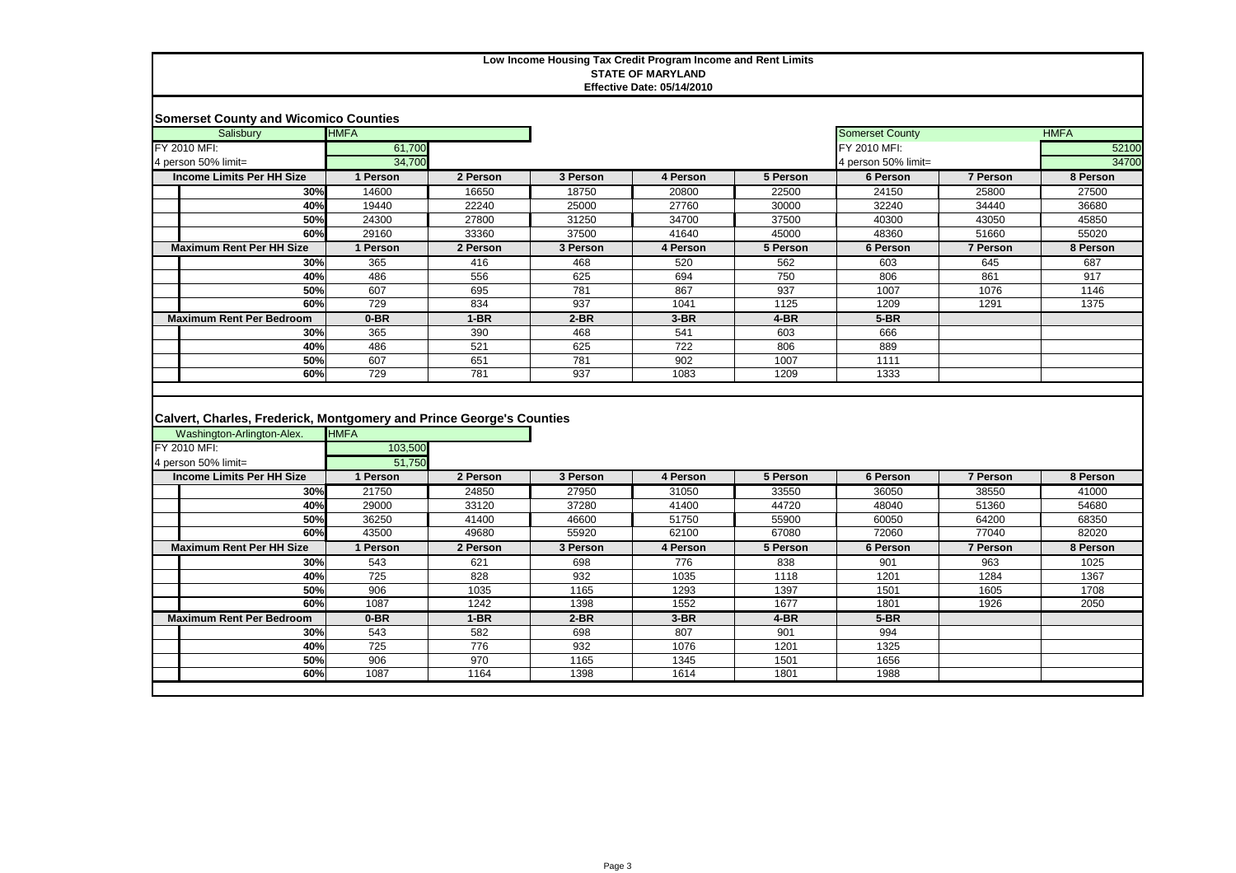|                     | <b>Somerset County and Wicomico Counties</b> |             |          |          |          |          |                        |          |             |
|---------------------|----------------------------------------------|-------------|----------|----------|----------|----------|------------------------|----------|-------------|
|                     | Salisbury                                    | <b>HMFA</b> |          |          |          |          | <b>Somerset County</b> |          | <b>HMFA</b> |
|                     | FY 2010 MFI:                                 | 61,700      |          |          |          |          | FY 2010 MFI:           |          | 52100       |
| 4 person 50% limit= |                                              | 34,700      |          |          |          |          | 4 person 50% limit=    |          | 34700       |
|                     | <b>Income Limits Per HH Size</b>             | 1 Person    | 2 Person | 3 Person | 4 Person | 5 Person | 6 Person               | 7 Person | 8 Person    |
|                     | 30%                                          | 14600       | 16650    | 18750    | 20800    | 22500    | 24150                  | 25800    | 27500       |
|                     | 40%                                          | 19440       | 22240    | 25000    | 27760    | 30000    | 32240                  | 34440    | 36680       |
|                     | 50%                                          | 24300       | 27800    | 31250    | 34700    | 37500    | 40300                  | 43050    | 45850       |
|                     | 60%                                          | 29160       | 33360    | 37500    | 41640    | 45000    | 48360                  | 51660    | 55020       |
|                     | <b>Maximum Rent Per HH Size</b>              | 1 Person    | 2 Person | 3 Person | 4 Person | 5 Person | 6 Person               | 7 Person | 8 Person    |
|                     | 30%                                          | 365         | 416      | 468      | 520      | 562      | 603                    | 645      | 687         |
|                     | 40%                                          | 486         | 556      | 625      | 694      | 750      | 806                    | 861      | 917         |
|                     | 50%                                          | 607         | 695      | 781      | 867      | 937      | 1007                   | 1076     | 1146        |
|                     | 60%                                          | 729         | 834      | 937      | 1041     | 1125     | 1209                   | 1291     | 1375        |
|                     | <b>Maximum Rent Per Bedroom</b>              | $0-BR$      | $1-BR$   | $2-BR$   | $3-BR$   | $4-BR$   | $5-BR$                 |          |             |
|                     | 30%                                          | 365         | 390      | 468      | 541      | 603      | 666                    |          |             |
|                     | 40%                                          | 486         | 521      | 625      | 722      | 806      | 889                    |          |             |
|                     | 50%                                          | 607         | 651      | 781      | 902      | 1007     | 1111                   |          |             |
|                     | 60%                                          | 729         | 781      | 937      | 1083     | 1209     | 1333                   |          |             |

# **Calvert, Charles, Frederick, Montgomery and Prince George's Counties**

| Washington-Arlington-Alex.      | <b>HMFA</b> |          |          |          |          |          |          |          |
|---------------------------------|-------------|----------|----------|----------|----------|----------|----------|----------|
| FY 2010 MFI:                    | 103,500     |          |          |          |          |          |          |          |
| 4 person 50% limit=             | 51,750      |          |          |          |          |          |          |          |
| Income Limits Per HH Size       | 1 Person    | 2 Person | 3 Person | 4 Person | 5 Person | 6 Person | 7 Person | 8 Person |
| 30%                             | 21750       | 24850    | 27950    | 31050    | 33550    | 36050    | 38550    | 41000    |
| 40%                             | 29000       | 33120    | 37280    | 41400    | 44720    | 48040    | 51360    | 54680    |
| 50%                             | 36250       | 41400    | 46600    | 51750    | 55900    | 60050    | 64200    | 68350    |
| 60%                             | 43500       | 49680    | 55920    | 62100    | 67080    | 72060    | 77040    | 82020    |
| <b>Maximum Rent Per HH Size</b> | 1 Person    | 2 Person | 3 Person | 4 Person | 5 Person | 6 Person | 7 Person | 8 Person |
| 30%                             | 543         | 621      | 698      | 776      | 838      | 901      | 963      | 1025     |
| 40%                             | 725         | 828      | 932      | 1035     | 1118     | 1201     | 1284     | 1367     |
| 50%                             | 906         | 1035     | 1165     | 1293     | 1397     | 1501     | 1605     | 1708     |
| 60%                             | 1087        | 1242     | 1398     | 1552     | 1677     | 1801     | 1926     | 2050     |
| <b>Maximum Rent Per Bedroom</b> | $0-BR$      | $1-BR$   | $2-BR$   | $3-BR$   | 4-BR     | $5-BR$   |          |          |
| 30%                             | 543         | 582      | 698      | 807      | 901      | 994      |          |          |
| 40%                             | 725         | 776      | 932      | 1076     | 1201     | 1325     |          |          |
| 50%                             | 906         | 970      | 1165     | 1345     | 1501     | 1656     |          |          |
| 60%                             | 1087        | 1164     | 1398     | 1614     | 1801     | 1988     |          |          |
|                                 |             |          |          |          |          |          |          |          |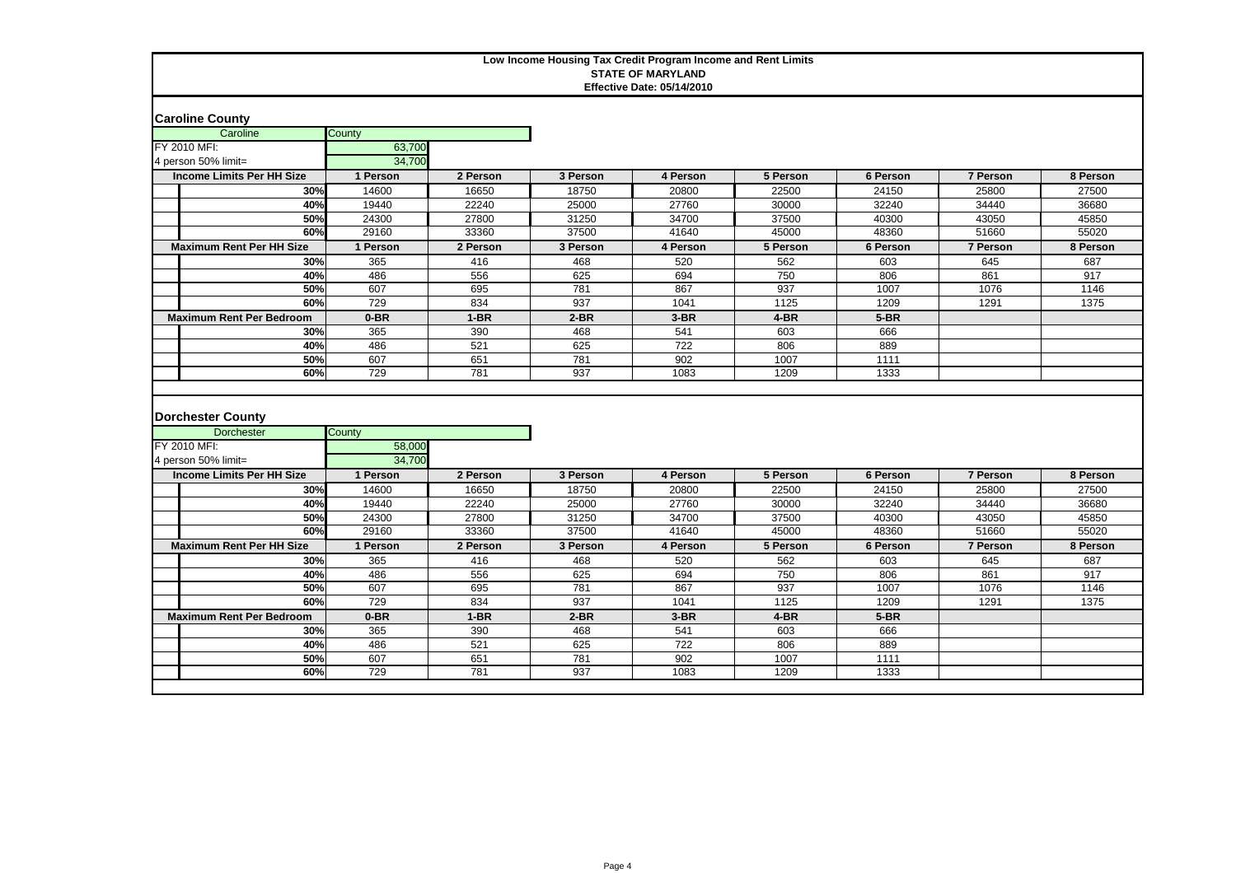| <b>Caroline County</b>                                        |                  |            |            |             |              |              |                 |          |
|---------------------------------------------------------------|------------------|------------|------------|-------------|--------------|--------------|-----------------|----------|
| Caroline                                                      | County           |            |            |             |              |              |                 |          |
| FY 2010 MFI:                                                  | 63,700           |            |            |             |              |              |                 |          |
| 4 person 50% limit=                                           | 34,700           |            |            |             |              |              |                 |          |
| <b>Income Limits Per HH Size</b>                              | 1 Person         | 2 Person   | 3 Person   | 4 Person    | 5 Person     | 6 Person     | 7 Person        | 8 Person |
| 30%                                                           | 14600            | 16650      | 18750      | 20800       | 22500        | 24150        | 25800           | 27500    |
| 40%                                                           | 19440            | 22240      | 25000      | 27760       | 30000        | 32240        | 34440           | 36680    |
| 50%                                                           | 24300            | 27800      | 31250      | 34700       | 37500        | 40300        | 43050           | 45850    |
| 60%                                                           | 29160            | 33360      | 37500      | 41640       | 45000        | 48360        | 51660           | 55020    |
| <b>Maximum Rent Per HH Size</b>                               | 1 Person         | 2 Person   | 3 Person   | 4 Person    | 5 Person     | 6 Person     | <b>7 Person</b> | 8 Person |
| 30%                                                           | 365              | 416        | 468        | 520         | 562          | 603          | 645             | 687      |
| 40%                                                           | 486              | 556        | 625        | 694         | 750          | 806          | 861             | 917      |
| 50%                                                           | 607              | 695        | 781        | 867         | 937          | 1007         | 1076            | 1146     |
| 60%                                                           | 729              | 834        | 937        | 1041        | 1125         | 1209         | 1291            | 1375     |
| <b>Maximum Rent Per Bedroom</b>                               | $0-BR$           | $1-BR$     | $2-BR$     | $3-BR$      | $4-BR$       | $5-BR$       |                 |          |
| 30%                                                           | 365              | 390        | 468        | 541         | 603          | 666          |                 |          |
| 40%                                                           | 486              | 521        | 625        | 722         | 806          | 889          |                 |          |
| 50%                                                           | 607              | 651        | 781        | 902         | 1007         | 1111         |                 |          |
|                                                               |                  |            |            |             |              |              |                 |          |
| 60%                                                           | 729              | 781        | 937        | 1083        | 1209         | 1333         |                 |          |
| <b>Dorchester County</b><br><b>Dorchester</b><br>FY 2010 MFI: | County<br>58,000 |            |            |             |              |              |                 |          |
| 4 person 50% limit=                                           | 34,700           |            |            |             |              |              |                 |          |
| <b>Income Limits Per HH Size</b>                              | 1 Person         | 2 Person   | 3 Person   | 4 Person    | 5 Person     | 6 Person     | 7 Person        | 8 Person |
| 30%                                                           | 14600            | 16650      | 18750      | 20800       | 22500        | 24150        | 25800           | 27500    |
| 40%                                                           | 19440            | 22240      | 25000      | 27760       | 30000        | 32240        | 34440           | 36680    |
| 50%                                                           | 24300            | 27800      | 31250      | 34700       | 37500        | 40300        | 43050           | 45850    |
| 60%                                                           | 29160            | 33360      | 37500      | 41640       | 45000        | 48360        | 51660           | 55020    |
| <b>Maximum Rent Per HH Size</b>                               | 1 Person         | 2 Person   | 3 Person   | 4 Person    | 5 Person     | 6 Person     | 7 Person        | 8 Person |
| 30%                                                           | 365              | 416        | 468        | 520         | 562          | 603          | 645             | 687      |
| 40%                                                           | 486              | 556        | 625        | 694         | 750          | 806          | 861             | 917      |
| 50%                                                           | 607              | 695        | 781        | 867         | 937          | 1007         | 1076            | 1146     |
| 60%                                                           | 729              | 834        | 937        | 1041        | 1125         | 1209         | 1291            | 1375     |
| <b>Maximum Rent Per Bedroom</b><br>30%                        | $0-BR$           | $1-BR$     | $2-BR$     | $3-BR$      | $4-BR$       | $5-BR$       |                 |          |
| 40%                                                           | 365              | 390        | 468        | 541         | 603          | 666          |                 |          |
| 50%                                                           | 486              | 521        | 625        | 722         | 806          | 889          |                 |          |
| 60%                                                           | 607<br>729       | 651<br>781 | 781<br>937 | 902<br>1083 | 1007<br>1209 | 1111<br>1333 |                 |          |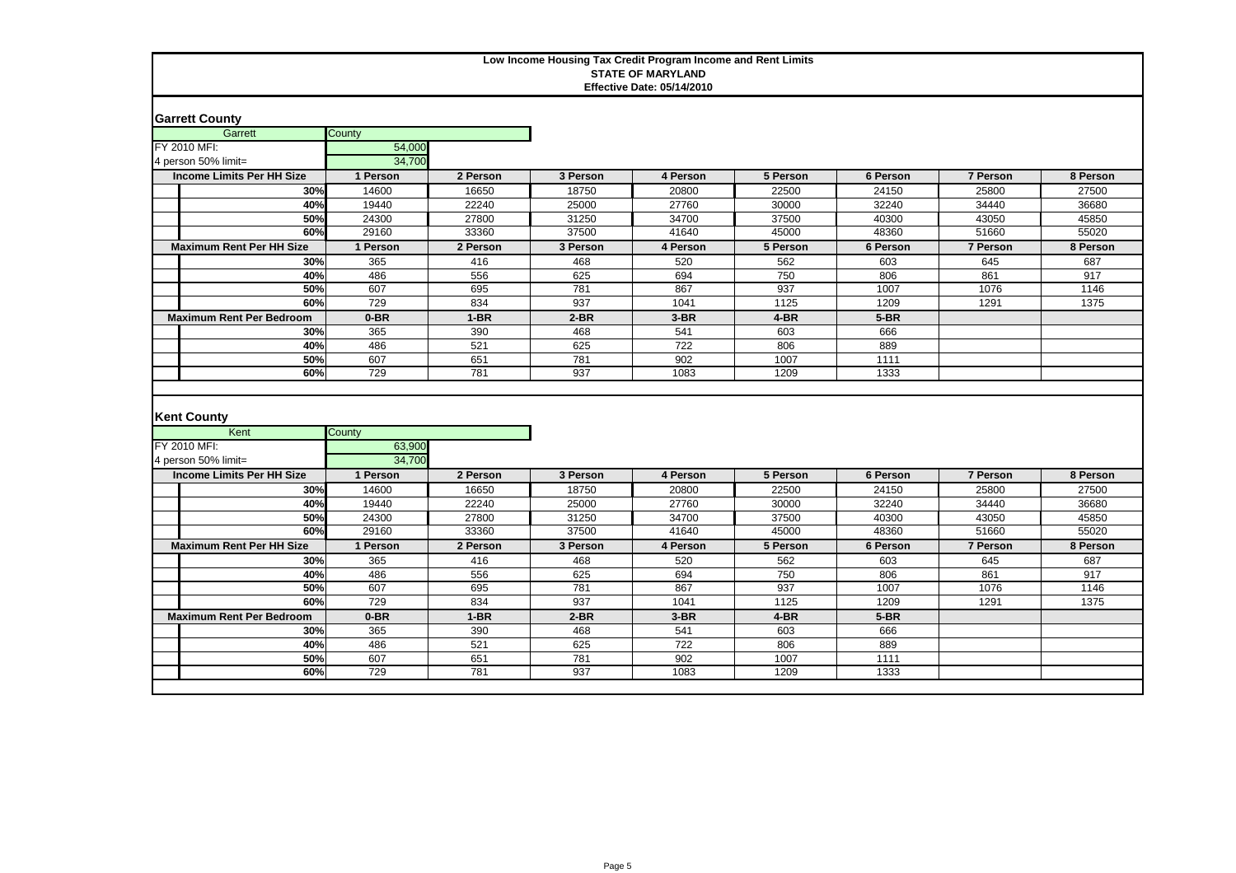| <b>Garrett County</b>                      |                  |            |            |                  |              |              |                 |          |
|--------------------------------------------|------------------|------------|------------|------------------|--------------|--------------|-----------------|----------|
| Garrett                                    | County           |            |            |                  |              |              |                 |          |
| FY 2010 MFI:                               | 54,000           |            |            |                  |              |              |                 |          |
| 4 person 50% limit=                        | 34,700           |            |            |                  |              |              |                 |          |
| <b>Income Limits Per HH Size</b>           | 1 Person         | 2 Person   | 3 Person   | 4 Person         | 5 Person     | 6 Person     | <b>7 Person</b> | 8 Person |
| 30%                                        | 14600            | 16650      | 18750      | 20800            | 22500        | 24150        | 25800           | 27500    |
| 40%                                        | 19440            | 22240      | 25000      | 27760            | 30000        | 32240        | 34440           | 36680    |
| 50%                                        | 24300            | 27800      | 31250      | 34700            | 37500        | 40300        | 43050           | 45850    |
| 60%                                        | 29160            | 33360      | 37500      | 41640            | 45000        | 48360        | 51660           | 55020    |
| <b>Maximum Rent Per HH Size</b>            | 1 Person         | 2 Person   | 3 Person   | 4 Person         | 5 Person     | 6 Person     | <b>7 Person</b> | 8 Person |
| 30%                                        | 365              | 416        | 468        | 520              | 562          | 603          | 645             | 687      |
| 40%                                        | 486              | 556        | 625        | 694              | 750          | 806          | 861             | 917      |
| 50%                                        | 607              | 695        | 781        | 867              | 937          | 1007         | 1076            | 1146     |
| 60%                                        | 729              | 834        | 937        | 1041             | 1125         | 1209         | 1291            | 1375     |
| <b>Maximum Rent Per Bedroom</b>            | $0-BR$           | $1-BR$     | $2-BR$     | $3-BR$           | $4-BR$       | $5-BR$       |                 |          |
| 30%                                        | 365              | 390        | 468        | 541              | 603          | 666          |                 |          |
| 40%                                        | 486              | 521        | 625        | $\overline{722}$ | 806          | 889          |                 |          |
| 50%                                        | 607              | 651        | 781        | 902              | 1007         | 1111         |                 |          |
| 60%                                        | 729              | 781        | 937        | 1083             | 1209         | 1333         |                 |          |
| <b>Kent County</b><br>Kent<br>FY 2010 MFI: | County<br>63,900 |            |            |                  |              |              |                 |          |
| 4 person 50% limit=                        |                  |            |            |                  |              |              |                 |          |
| <b>Income Limits Per HH Size</b>           | 34,700           |            |            |                  |              |              |                 |          |
|                                            | 1 Person         | 2 Person   | 3 Person   | 4 Person         | 5 Person     | 6 Person     | 7 Person        | 8 Person |
| 30%                                        | 14600            | 16650      | 18750      | 20800            | 22500        | 24150        | 25800           | 27500    |
| 40%                                        | 19440            | 22240      | 25000      | 27760            | 30000        | 32240        | 34440           | 36680    |
| 50%                                        | 24300            | 27800      | 31250      | 34700            | 37500        | 40300        | 43050           | 45850    |
| 60%                                        | 29160            | 33360      | 37500      | 41640            | 45000        | 48360        | 51660           | 55020    |
| <b>Maximum Rent Per HH Size</b>            | 1 Person         | 2 Person   | 3 Person   | 4 Person         | 5 Person     | 6 Person     | 7 Person        | 8 Person |
| 30%                                        | 365              | 416        | 468        | 520              | 562          | 603          | 645             | 687      |
| 40%                                        | 486              | 556        | 625        | 694              | 750          | 806          | 861             | 917      |
| 50%                                        | 607              | 695        | 781        | 867              | 937          | 1007         | 1076            | 1146     |
| 60%                                        | 729              | 834        | 937        | 1041             | 1125         | 1209         | 1291            | 1375     |
| <b>Maximum Rent Per Bedroom</b>            | 0-BR             | $1-BR$     | $2-BR$     | $3-BR$           | 4-BR         | $5-BR$       |                 |          |
| 30%                                        | 365              | 390        | 468        | 541              | 603          | 666          |                 |          |
| 40%                                        | 486              | 521        | 625        | 722              | 806          | 889          |                 |          |
| 50%<br>60%                                 | 607<br>729       | 651<br>781 | 781<br>937 | 902<br>1083      | 1007<br>1209 | 1111<br>1333 |                 |          |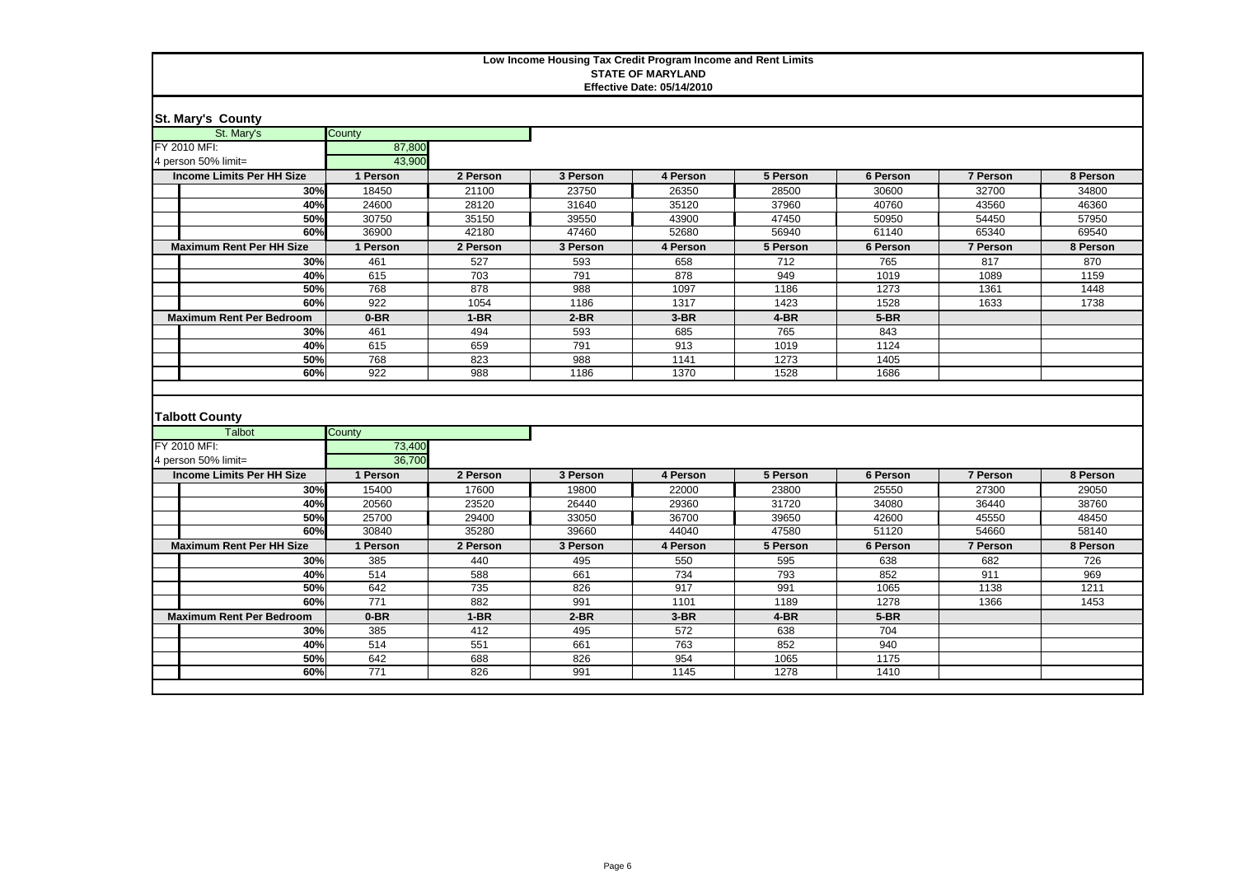| <b>St. Mary's County</b>                               |                  |                |                   |                   |                   |                   |                 |                |
|--------------------------------------------------------|------------------|----------------|-------------------|-------------------|-------------------|-------------------|-----------------|----------------|
| St. Mary's                                             | County           |                |                   |                   |                   |                   |                 |                |
| FY 2010 MFI:                                           | 87,800           |                |                   |                   |                   |                   |                 |                |
| 4 person 50% limit=                                    | 43,900           |                |                   |                   |                   |                   |                 |                |
| <b>Income Limits Per HH Size</b>                       | 1 Person         | 2 Person       | 3 Person          | 4 Person          | 5 Person          | 6 Person          | <b>7 Person</b> | 8 Person       |
| 30%                                                    | 18450            | 21100          | 23750             | 26350             | 28500             | 30600             | 32700           | 34800          |
| 40%                                                    | 24600            | 28120          | 31640             | 35120             | 37960             | 40760             | 43560           | 46360          |
| 50%                                                    | 30750            | 35150          | 39550             | 43900             | 47450             | 50950             | 54450           | 57950          |
| 60%                                                    | 36900            | 42180          | 47460             | 52680             | 56940             | 61140             | 65340           | 69540          |
| <b>Maximum Rent Per HH Size</b>                        | 1 Person         | 2 Person       | 3 Person          | 4 Person          | 5 Person          | 6 Person          | <b>7 Person</b> | 8 Person       |
| 30%                                                    | 461              | 527            | 593               | 658               | 712               | 765               | 817             | 870            |
| 40%                                                    | 615              | 703            | 791               | 878               | 949               | 1019              | 1089            | 1159           |
| 50%                                                    | 768              | 878            | 988               | 1097              | 1186              | 1273              | 1361            | 1448           |
| 60%                                                    | 922              | 1054           | 1186              | 1317              | 1423              | 1528              | 1633            | 1738           |
| <b>Maximum Rent Per Bedroom</b>                        | 0-BR             | $1-BR$         | $2-BR$            | $3-BR$            | 4-BR              | $5-BR$            |                 |                |
| 30%                                                    | 461              | 494            | 593               | 685               | 765               | 843               |                 |                |
| 40%                                                    | 615              | 659            | 791               | 913               | 1019              | 1124              |                 |                |
| 50%                                                    | 768              | 823            | 988               | 1141              | 1273              | 1405              |                 |                |
| 60%                                                    | 922              | 988            | 1186              | 1370              | 1528              | 1686              |                 |                |
| <b>Talbott County</b><br><b>Talbot</b><br>FY 2010 MFI: | County<br>73,400 |                |                   |                   |                   |                   |                 |                |
| 4 person 50% limit=                                    | 36,700           |                |                   |                   |                   |                   |                 |                |
| <b>Income Limits Per HH Size</b>                       |                  |                |                   |                   |                   |                   |                 |                |
| 30%                                                    |                  |                |                   |                   |                   |                   |                 |                |
| 40%                                                    | 1 Person         | 2 Person       | 3 Person<br>19800 | 4 Person<br>22000 | 5 Person<br>23800 | 6 Person<br>25550 | <b>7 Person</b> | 8 Person       |
| 50%                                                    | 15400            | 17600<br>23520 |                   |                   | 31720             | 34080             | 27300           | 29050          |
|                                                        | 20560<br>25700   | 29400          | 26440<br>33050    | 29360<br>36700    | 39650             | 42600             | 36440<br>45550  | 38760<br>48450 |
| 60%                                                    | 30840            | 35280          | 39660             | 44040             | 47580             | 51120             | 54660           | 58140          |
| <b>Maximum Rent Per HH Size</b>                        | 1 Person         | 2 Person       | 3 Person          | 4 Person          | 5 Person          | 6 Person          | 7 Person        | 8 Person       |
| 30%                                                    | 385              | 440            | 495               | 550               | 595               | 638               | 682             | 726            |
| 40%                                                    | 514              | 588            | 661               | 734               | 793               | 852               | 911             | 969            |
| 50%                                                    | 642              | 735            | 826               | 917               | 991               | 1065              | 1138            | 1211           |
| 60%                                                    | 771              | 882            | 991               | 1101              | 1189              | 1278              | 1366            | 1453           |
| <b>Maximum Rent Per Bedroom</b>                        | $0-BR$           | $1-BR$         | $2-BR$            | $3-BR$            | 4-BR              | $5-BR$            |                 |                |
| 30%                                                    | 385              | 412            | 495               | 572               | 638               | 704               |                 |                |
| 40%                                                    | 514              | 551            | 661               | 763               | 852               | 940               |                 |                |
| 50%<br>60%                                             | 642<br>771       | 688<br>826     | 826<br>991        | 954<br>1145       | 1065<br>1278      | 1175<br>1410      |                 |                |